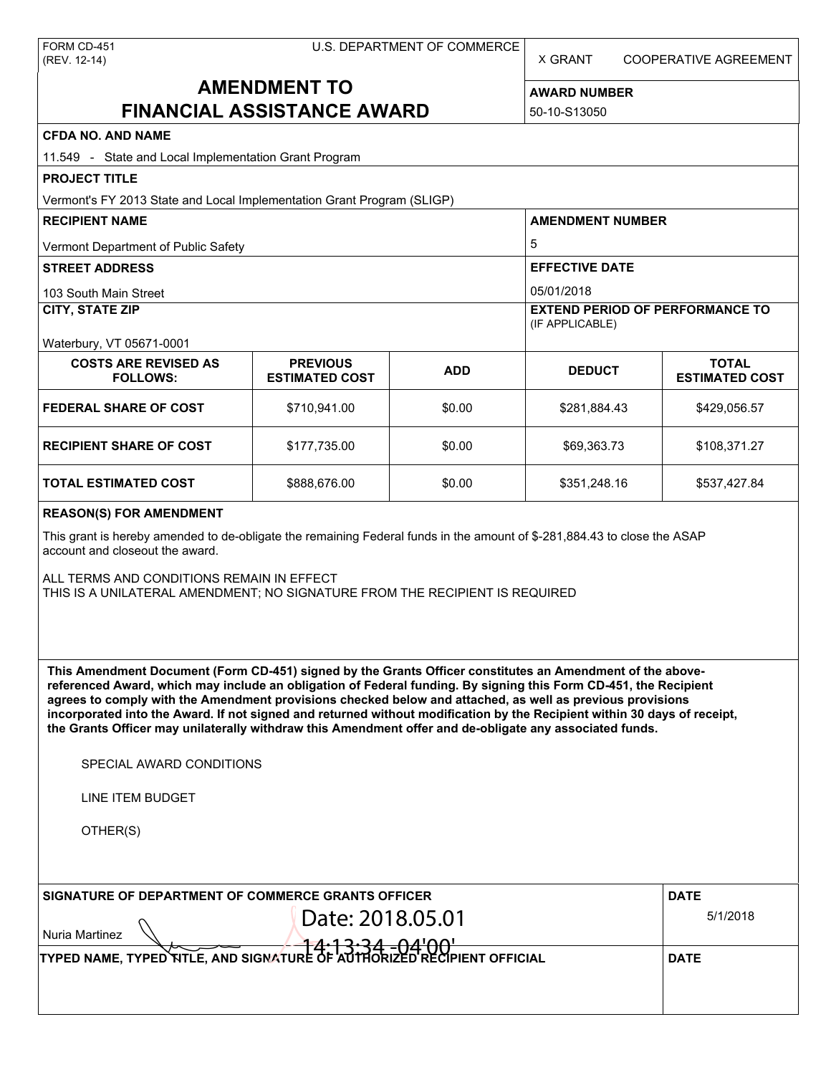| FORM CD-451  |  |
|--------------|--|
| (REV. 12-14) |  |

X GRANT COOPERATIVE AGREEMENT

# **AMENDMENT TO FINANCIAL ASSISTANCE AWARD**

**AWARD NUMBER** 50-10-S13050

| <b>CFDA NO. AND NAME</b>                                                                                                                                                                                                                                                                                                                                                                                                                                                                                                                                                          |                                          |            |                                                           |                                       |  |
|-----------------------------------------------------------------------------------------------------------------------------------------------------------------------------------------------------------------------------------------------------------------------------------------------------------------------------------------------------------------------------------------------------------------------------------------------------------------------------------------------------------------------------------------------------------------------------------|------------------------------------------|------------|-----------------------------------------------------------|---------------------------------------|--|
| 11.549 - State and Local Implementation Grant Program                                                                                                                                                                                                                                                                                                                                                                                                                                                                                                                             |                                          |            |                                                           |                                       |  |
| <b>PROJECT TITLE</b>                                                                                                                                                                                                                                                                                                                                                                                                                                                                                                                                                              |                                          |            |                                                           |                                       |  |
| Vermont's FY 2013 State and Local Implementation Grant Program (SLIGP)                                                                                                                                                                                                                                                                                                                                                                                                                                                                                                            |                                          |            |                                                           |                                       |  |
| <b>RECIPIENT NAME</b>                                                                                                                                                                                                                                                                                                                                                                                                                                                                                                                                                             |                                          |            | <b>AMENDMENT NUMBER</b>                                   |                                       |  |
| Vermont Department of Public Safety                                                                                                                                                                                                                                                                                                                                                                                                                                                                                                                                               |                                          |            | 5                                                         |                                       |  |
| <b>STREET ADDRESS</b>                                                                                                                                                                                                                                                                                                                                                                                                                                                                                                                                                             |                                          |            | <b>EFFECTIVE DATE</b>                                     |                                       |  |
| 103 South Main Street                                                                                                                                                                                                                                                                                                                                                                                                                                                                                                                                                             |                                          |            | 05/01/2018                                                |                                       |  |
| <b>CITY, STATE ZIP</b>                                                                                                                                                                                                                                                                                                                                                                                                                                                                                                                                                            |                                          |            | <b>EXTEND PERIOD OF PERFORMANCE TO</b><br>(IF APPLICABLE) |                                       |  |
| Waterbury, VT 05671-0001                                                                                                                                                                                                                                                                                                                                                                                                                                                                                                                                                          |                                          |            |                                                           |                                       |  |
| <b>COSTS ARE REVISED AS</b><br><b>FOLLOWS:</b>                                                                                                                                                                                                                                                                                                                                                                                                                                                                                                                                    | <b>PREVIOUS</b><br><b>ESTIMATED COST</b> | <b>ADD</b> | <b>DEDUCT</b>                                             | <b>TOTAL</b><br><b>ESTIMATED COST</b> |  |
| <b>FEDERAL SHARE OF COST</b>                                                                                                                                                                                                                                                                                                                                                                                                                                                                                                                                                      | \$710,941.00                             | \$0.00     | \$281,884.43                                              | \$429,056.57                          |  |
| <b>RECIPIENT SHARE OF COST</b>                                                                                                                                                                                                                                                                                                                                                                                                                                                                                                                                                    | \$177,735.00                             | \$0.00     | \$69,363.73                                               | \$108,371.27                          |  |
| <b>TOTAL ESTIMATED COST</b>                                                                                                                                                                                                                                                                                                                                                                                                                                                                                                                                                       | \$888,676.00                             | \$0.00     | \$351,248.16                                              | \$537,427.84                          |  |
| <b>REASON(S) FOR AMENDMENT</b>                                                                                                                                                                                                                                                                                                                                                                                                                                                                                                                                                    |                                          |            |                                                           |                                       |  |
| This grant is hereby amended to de-obligate the remaining Federal funds in the amount of \$-281,884.43 to close the ASAP<br>account and closeout the award.                                                                                                                                                                                                                                                                                                                                                                                                                       |                                          |            |                                                           |                                       |  |
| ALL TERMS AND CONDITIONS REMAIN IN EFFECT<br>THIS IS A UNILATERAL AMENDMENT; NO SIGNATURE FROM THE RECIPIENT IS REQUIRED                                                                                                                                                                                                                                                                                                                                                                                                                                                          |                                          |            |                                                           |                                       |  |
|                                                                                                                                                                                                                                                                                                                                                                                                                                                                                                                                                                                   |                                          |            |                                                           |                                       |  |
| This Amendment Document (Form CD-451) signed by the Grants Officer constitutes an Amendment of the above-<br>referenced Award, which may include an obligation of Federal funding. By signing this Form CD-451, the Recipient<br>agrees to comply with the Amendment provisions checked below and attached, as well as previous provisions<br>incorporated into the Award. If not signed and returned without modification by the Recipient within 30 days of receipt,<br>the Grants Officer may unilaterally withdraw this Amendment offer and de-obligate any associated funds. |                                          |            |                                                           |                                       |  |
| SPECIAL AWARD CONDITIONS                                                                                                                                                                                                                                                                                                                                                                                                                                                                                                                                                          |                                          |            |                                                           |                                       |  |
| LINE ITEM BUDGET                                                                                                                                                                                                                                                                                                                                                                                                                                                                                                                                                                  |                                          |            |                                                           |                                       |  |
| OTHER(S)                                                                                                                                                                                                                                                                                                                                                                                                                                                                                                                                                                          |                                          |            |                                                           |                                       |  |
|                                                                                                                                                                                                                                                                                                                                                                                                                                                                                                                                                                                   |                                          |            |                                                           | <b>DATE</b>                           |  |
| SIGNATURE OF DEPARTMENT OF COMMERCE GRANTS OFFICER<br>Date: 2018.05.01<br><b>Nuria Martinez</b>                                                                                                                                                                                                                                                                                                                                                                                                                                                                                   |                                          |            |                                                           | 5/1/2018                              |  |
| TYPED NAME, TYPED NTLE, AND SIGNAT                                                                                                                                                                                                                                                                                                                                                                                                                                                                                                                                                |                                          |            |                                                           | <b>DATE</b>                           |  |
|                                                                                                                                                                                                                                                                                                                                                                                                                                                                                                                                                                                   |                                          |            |                                                           |                                       |  |